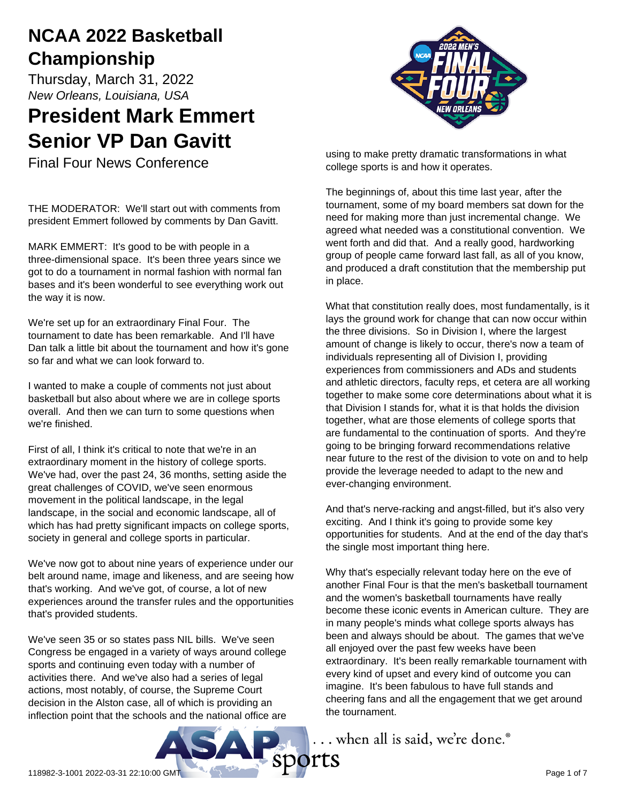# **NCAA 2022 Basketball Championship**

Thursday, March 31, 2022 *New Orleans, Louisiana, USA*

# **President Mark Emmert Senior VP Dan Gavitt**

Final Four News Conference

THE MODERATOR: We'll start out with comments from president Emmert followed by comments by Dan Gavitt.

MARK EMMERT: It's good to be with people in a three-dimensional space. It's been three years since we got to do a tournament in normal fashion with normal fan bases and it's been wonderful to see everything work out the way it is now.

We're set up for an extraordinary Final Four. The tournament to date has been remarkable. And I'll have Dan talk a little bit about the tournament and how it's gone so far and what we can look forward to.

I wanted to make a couple of comments not just about basketball but also about where we are in college sports overall. And then we can turn to some questions when we're finished.

First of all, I think it's critical to note that we're in an extraordinary moment in the history of college sports. We've had, over the past 24, 36 months, setting aside the great challenges of COVID, we've seen enormous movement in the political landscape, in the legal landscape, in the social and economic landscape, all of which has had pretty significant impacts on college sports, society in general and college sports in particular.

We've now got to about nine years of experience under our belt around name, image and likeness, and are seeing how that's working. And we've got, of course, a lot of new experiences around the transfer rules and the opportunities that's provided students.

We've seen 35 or so states pass NIL bills. We've seen Congress be engaged in a variety of ways around college sports and continuing even today with a number of activities there. And we've also had a series of legal actions, most notably, of course, the Supreme Court decision in the Alston case, all of which is providing an inflection point that the schools and the national office are



using to make pretty dramatic transformations in what college sports is and how it operates.

The beginnings of, about this time last year, after the tournament, some of my board members sat down for the need for making more than just incremental change. We agreed what needed was a constitutional convention. We went forth and did that. And a really good, hardworking group of people came forward last fall, as all of you know, and produced a draft constitution that the membership put in place.

What that constitution really does, most fundamentally, is it lays the ground work for change that can now occur within the three divisions. So in Division I, where the largest amount of change is likely to occur, there's now a team of individuals representing all of Division I, providing experiences from commissioners and ADs and students and athletic directors, faculty reps, et cetera are all working together to make some core determinations about what it is that Division I stands for, what it is that holds the division together, what are those elements of college sports that are fundamental to the continuation of sports. And they're going to be bringing forward recommendations relative near future to the rest of the division to vote on and to help provide the leverage needed to adapt to the new and ever-changing environment.

And that's nerve-racking and angst-filled, but it's also very exciting. And I think it's going to provide some key opportunities for students. And at the end of the day that's the single most important thing here.

Why that's especially relevant today here on the eve of another Final Four is that the men's basketball tournament and the women's basketball tournaments have really become these iconic events in American culture. They are in many people's minds what college sports always has been and always should be about. The games that we've all enjoyed over the past few weeks have been extraordinary. It's been really remarkable tournament with every kind of upset and every kind of outcome you can imagine. It's been fabulous to have full stands and cheering fans and all the engagement that we get around the tournament.

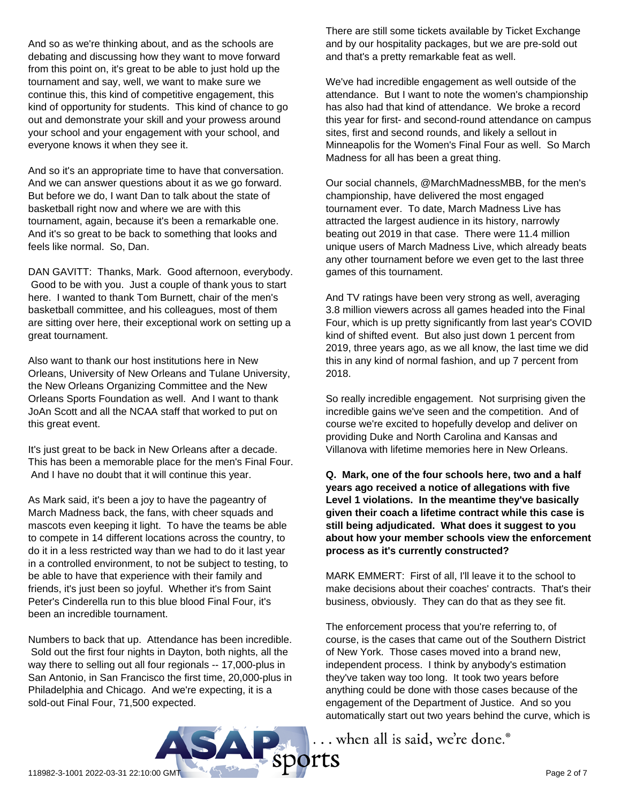And so as we're thinking about, and as the schools are debating and discussing how they want to move forward from this point on, it's great to be able to just hold up the tournament and say, well, we want to make sure we continue this, this kind of competitive engagement, this kind of opportunity for students. This kind of chance to go out and demonstrate your skill and your prowess around your school and your engagement with your school, and everyone knows it when they see it.

And so it's an appropriate time to have that conversation. And we can answer questions about it as we go forward. But before we do, I want Dan to talk about the state of basketball right now and where we are with this tournament, again, because it's been a remarkable one. And it's so great to be back to something that looks and feels like normal. So, Dan.

DAN GAVITT: Thanks, Mark. Good afternoon, everybody. Good to be with you. Just a couple of thank yous to start here. I wanted to thank Tom Burnett, chair of the men's basketball committee, and his colleagues, most of them are sitting over here, their exceptional work on setting up a great tournament.

Also want to thank our host institutions here in New Orleans, University of New Orleans and Tulane University, the New Orleans Organizing Committee and the New Orleans Sports Foundation as well. And I want to thank JoAn Scott and all the NCAA staff that worked to put on this great event.

It's just great to be back in New Orleans after a decade. This has been a memorable place for the men's Final Four. And I have no doubt that it will continue this year.

As Mark said, it's been a joy to have the pageantry of March Madness back, the fans, with cheer squads and mascots even keeping it light. To have the teams be able to compete in 14 different locations across the country, to do it in a less restricted way than we had to do it last year in a controlled environment, to not be subject to testing, to be able to have that experience with their family and friends, it's just been so joyful. Whether it's from Saint Peter's Cinderella run to this blue blood Final Four, it's been an incredible tournament.

Numbers to back that up. Attendance has been incredible. Sold out the first four nights in Dayton, both nights, all the way there to selling out all four regionals -- 17,000-plus in San Antonio, in San Francisco the first time, 20,000-plus in Philadelphia and Chicago. And we're expecting, it is a sold-out Final Four, 71,500 expected.

There are still some tickets available by Ticket Exchange and by our hospitality packages, but we are pre-sold out and that's a pretty remarkable feat as well.

We've had incredible engagement as well outside of the attendance. But I want to note the women's championship has also had that kind of attendance. We broke a record this year for first- and second-round attendance on campus sites, first and second rounds, and likely a sellout in Minneapolis for the Women's Final Four as well. So March Madness for all has been a great thing.

Our social channels, @MarchMadnessMBB, for the men's championship, have delivered the most engaged tournament ever. To date, March Madness Live has attracted the largest audience in its history, narrowly beating out 2019 in that case. There were 11.4 million unique users of March Madness Live, which already beats any other tournament before we even get to the last three games of this tournament.

And TV ratings have been very strong as well, averaging 3.8 million viewers across all games headed into the Final Four, which is up pretty significantly from last year's COVID kind of shifted event. But also just down 1 percent from 2019, three years ago, as we all know, the last time we did this in any kind of normal fashion, and up 7 percent from 2018.

So really incredible engagement. Not surprising given the incredible gains we've seen and the competition. And of course we're excited to hopefully develop and deliver on providing Duke and North Carolina and Kansas and Villanova with lifetime memories here in New Orleans.

**Q. Mark, one of the four schools here, two and a half years ago received a notice of allegations with five Level 1 violations. In the meantime they've basically given their coach a lifetime contract while this case is still being adjudicated. What does it suggest to you about how your member schools view the enforcement process as it's currently constructed?**

MARK EMMERT: First of all, I'll leave it to the school to make decisions about their coaches' contracts. That's their business, obviously. They can do that as they see fit.

The enforcement process that you're referring to, of course, is the cases that came out of the Southern District of New York. Those cases moved into a brand new, independent process. I think by anybody's estimation they've taken way too long. It took two years before anything could be done with those cases because of the engagement of the Department of Justice. And so you automatically start out two years behind the curve, which is

... when all is said, we're done.®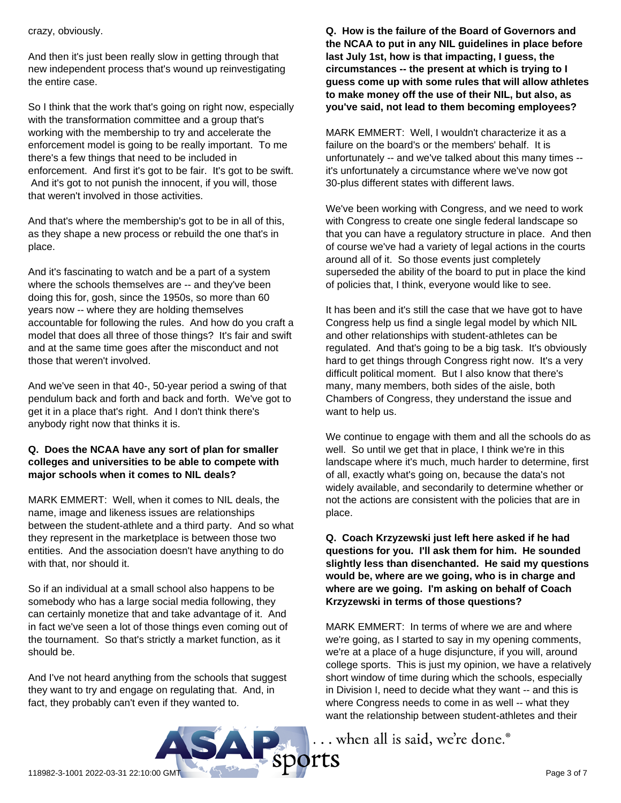#### crazy, obviously.

And then it's just been really slow in getting through that new independent process that's wound up reinvestigating the entire case.

So I think that the work that's going on right now, especially with the transformation committee and a group that's working with the membership to try and accelerate the enforcement model is going to be really important. To me there's a few things that need to be included in enforcement. And first it's got to be fair. It's got to be swift. And it's got to not punish the innocent, if you will, those that weren't involved in those activities.

And that's where the membership's got to be in all of this, as they shape a new process or rebuild the one that's in place.

And it's fascinating to watch and be a part of a system where the schools themselves are -- and they've been doing this for, gosh, since the 1950s, so more than 60 years now -- where they are holding themselves accountable for following the rules. And how do you craft a model that does all three of those things? It's fair and swift and at the same time goes after the misconduct and not those that weren't involved.

And we've seen in that 40-, 50-year period a swing of that pendulum back and forth and back and forth. We've got to get it in a place that's right. And I don't think there's anybody right now that thinks it is.

## **Q. Does the NCAA have any sort of plan for smaller colleges and universities to be able to compete with major schools when it comes to NIL deals?**

MARK EMMERT: Well, when it comes to NIL deals, the name, image and likeness issues are relationships between the student-athlete and a third party. And so what they represent in the marketplace is between those two entities. And the association doesn't have anything to do with that, nor should it.

So if an individual at a small school also happens to be somebody who has a large social media following, they can certainly monetize that and take advantage of it. And in fact we've seen a lot of those things even coming out of the tournament. So that's strictly a market function, as it should be.

And I've not heard anything from the schools that suggest they want to try and engage on regulating that. And, in fact, they probably can't even if they wanted to.

**Q. How is the failure of the Board of Governors and the NCAA to put in any NIL guidelines in place before last July 1st, how is that impacting, I guess, the circumstances -- the present at which is trying to I guess come up with some rules that will allow athletes to make money off the use of their NIL, but also, as you've said, not lead to them becoming employees?**

MARK EMMERT: Well, I wouldn't characterize it as a failure on the board's or the members' behalf. It is unfortunately -- and we've talked about this many times - it's unfortunately a circumstance where we've now got 30-plus different states with different laws.

We've been working with Congress, and we need to work with Congress to create one single federal landscape so that you can have a regulatory structure in place. And then of course we've had a variety of legal actions in the courts around all of it. So those events just completely superseded the ability of the board to put in place the kind of policies that, I think, everyone would like to see.

It has been and it's still the case that we have got to have Congress help us find a single legal model by which NIL and other relationships with student-athletes can be regulated. And that's going to be a big task. It's obviously hard to get things through Congress right now. It's a very difficult political moment. But I also know that there's many, many members, both sides of the aisle, both Chambers of Congress, they understand the issue and want to help us.

We continue to engage with them and all the schools do as well. So until we get that in place, I think we're in this landscape where it's much, much harder to determine, first of all, exactly what's going on, because the data's not widely available, and secondarily to determine whether or not the actions are consistent with the policies that are in place.

# **Q. Coach Krzyzewski just left here asked if he had questions for you. I'll ask them for him. He sounded slightly less than disenchanted. He said my questions would be, where are we going, who is in charge and where are we going. I'm asking on behalf of Coach Krzyzewski in terms of those questions?**

MARK EMMERT: In terms of where we are and where we're going, as I started to say in my opening comments, we're at a place of a huge disjuncture, if you will, around college sports. This is just my opinion, we have a relatively short window of time during which the schools, especially in Division I, need to decide what they want -- and this is where Congress needs to come in as well -- what they want the relationship between student-athletes and their

... when all is said, we're done.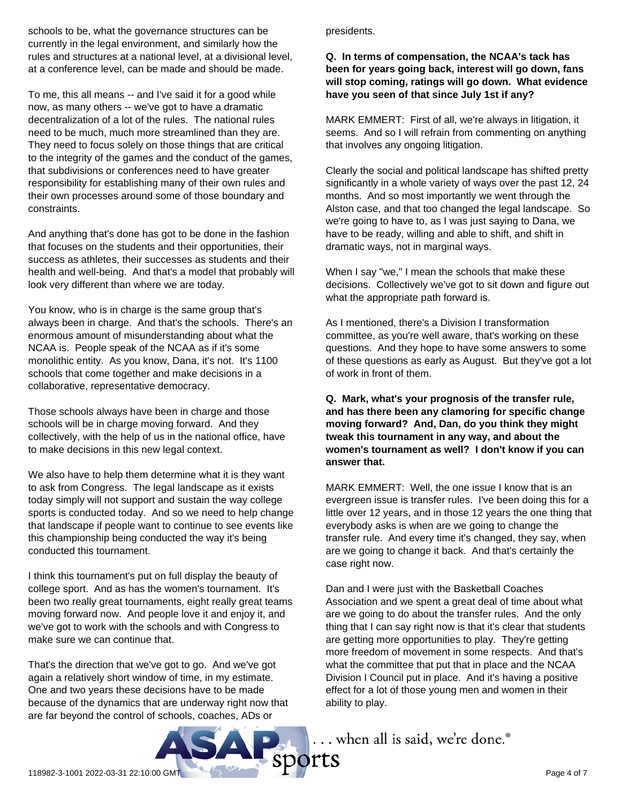schools to be, what the governance structures can be currently in the legal environment, and similarly how the rules and structures at a national level, at a divisional level, at a conference level, can be made and should be made.

To me, this all means -- and I've said it for a good while now, as many others -- we've got to have a dramatic decentralization of a lot of the rules. The national rules need to be much, much more streamlined than they are. They need to focus solely on those things that are critical to the integrity of the games and the conduct of the games, that subdivisions or conferences need to have greater responsibility for establishing many of their own rules and their own processes around some of those boundary and constraints.

And anything that's done has got to be done in the fashion that focuses on the students and their opportunities, their success as athletes, their successes as students and their health and well-being. And that's a model that probably will look very different than where we are today.

You know, who is in charge is the same group that's always been in charge. And that's the schools. There's an enormous amount of misunderstanding about what the NCAA is. People speak of the NCAA as if it's some monolithic entity. As you know, Dana, it's not. It's 1100 schools that come together and make decisions in a collaborative, representative democracy.

Those schools always have been in charge and those schools will be in charge moving forward. And they collectively, with the help of us in the national office, have to make decisions in this new legal context.

We also have to help them determine what it is they want to ask from Congress. The legal landscape as it exists today simply will not support and sustain the way college sports is conducted today. And so we need to help change that landscape if people want to continue to see events like this championship being conducted the way it's being conducted this tournament.

I think this tournament's put on full display the beauty of college sport. And as has the women's tournament. It's been two really great tournaments, eight really great teams moving forward now. And people love it and enjoy it, and we've got to work with the schools and with Congress to make sure we can continue that.

That's the direction that we've got to go. And we've got again a relatively short window of time, in my estimate. One and two years these decisions have to be made because of the dynamics that are underway right now that are far beyond the control of schools, coaches, ADs or

#### presidents.

## **Q. In terms of compensation, the NCAA's tack has been for years going back, interest will go down, fans will stop coming, ratings will go down. What evidence have you seen of that since July 1st if any?**

MARK EMMERT: First of all, we're always in litigation, it seems. And so I will refrain from commenting on anything that involves any ongoing litigation.

Clearly the social and political landscape has shifted pretty significantly in a whole variety of ways over the past 12, 24 months. And so most importantly we went through the Alston case, and that too changed the legal landscape. So we're going to have to, as I was just saying to Dana, we have to be ready, willing and able to shift, and shift in dramatic ways, not in marginal ways.

When I say "we," I mean the schools that make these decisions. Collectively we've got to sit down and figure out what the appropriate path forward is.

As I mentioned, there's a Division I transformation committee, as you're well aware, that's working on these questions. And they hope to have some answers to some of these questions as early as August. But they've got a lot of work in front of them.

**Q. Mark, what's your prognosis of the transfer rule, and has there been any clamoring for specific change moving forward? And, Dan, do you think they might tweak this tournament in any way, and about the women's tournament as well? I don't know if you can answer that.**

MARK EMMERT: Well, the one issue I know that is an evergreen issue is transfer rules. I've been doing this for a little over 12 years, and in those 12 years the one thing that everybody asks is when are we going to change the transfer rule. And every time it's changed, they say, when are we going to change it back. And that's certainly the case right now.

Dan and I were just with the Basketball Coaches Association and we spent a great deal of time about what are we going to do about the transfer rules. And the only thing that I can say right now is that it's clear that students are getting more opportunities to play. They're getting more freedom of movement in some respects. And that's what the committee that put that in place and the NCAA Division I Council put in place. And it's having a positive effect for a lot of those young men and women in their ability to play.

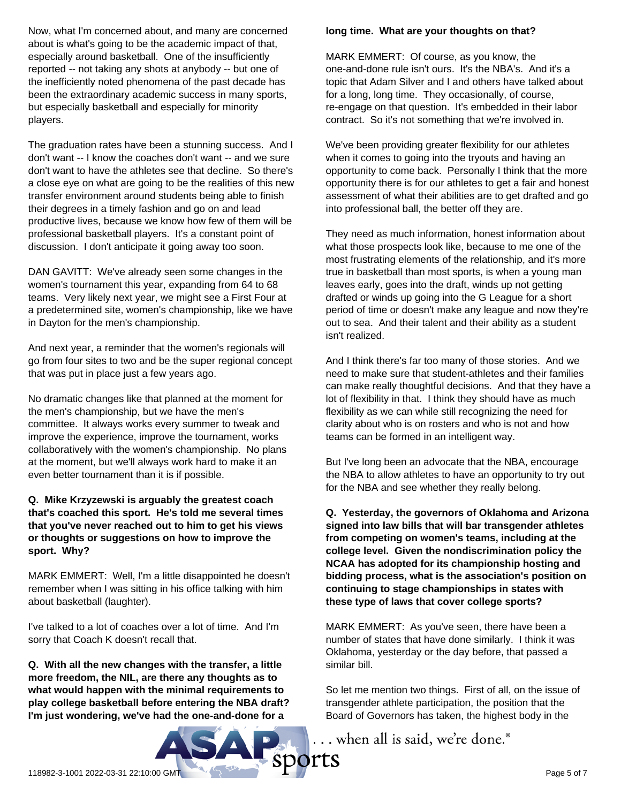Now, what I'm concerned about, and many are concerned about is what's going to be the academic impact of that, especially around basketball. One of the insufficiently reported -- not taking any shots at anybody -- but one of the inefficiently noted phenomena of the past decade has been the extraordinary academic success in many sports, but especially basketball and especially for minority players.

The graduation rates have been a stunning success. And I don't want -- I know the coaches don't want -- and we sure don't want to have the athletes see that decline. So there's a close eye on what are going to be the realities of this new transfer environment around students being able to finish their degrees in a timely fashion and go on and lead productive lives, because we know how few of them will be professional basketball players. It's a constant point of discussion. I don't anticipate it going away too soon.

DAN GAVITT: We've already seen some changes in the women's tournament this year, expanding from 64 to 68 teams. Very likely next year, we might see a First Four at a predetermined site, women's championship, like we have in Dayton for the men's championship.

And next year, a reminder that the women's regionals will go from four sites to two and be the super regional concept that was put in place just a few years ago.

No dramatic changes like that planned at the moment for the men's championship, but we have the men's committee. It always works every summer to tweak and improve the experience, improve the tournament, works collaboratively with the women's championship. No plans at the moment, but we'll always work hard to make it an even better tournament than it is if possible.

**Q. Mike Krzyzewski is arguably the greatest coach that's coached this sport. He's told me several times that you've never reached out to him to get his views or thoughts or suggestions on how to improve the sport. Why?**

MARK EMMERT: Well, I'm a little disappointed he doesn't remember when I was sitting in his office talking with him about basketball (laughter).

I've talked to a lot of coaches over a lot of time. And I'm sorry that Coach K doesn't recall that.

**Q. With all the new changes with the transfer, a little more freedom, the NIL, are there any thoughts as to what would happen with the minimal requirements to play college basketball before entering the NBA draft? I'm just wondering, we've had the one-and-done for a**

#### **long time. What are your thoughts on that?**

MARK EMMERT: Of course, as you know, the one-and-done rule isn't ours. It's the NBA's. And it's a topic that Adam Silver and I and others have talked about for a long, long time. They occasionally, of course, re-engage on that question. It's embedded in their labor contract. So it's not something that we're involved in.

We've been providing greater flexibility for our athletes when it comes to going into the tryouts and having an opportunity to come back. Personally I think that the more opportunity there is for our athletes to get a fair and honest assessment of what their abilities are to get drafted and go into professional ball, the better off they are.

They need as much information, honest information about what those prospects look like, because to me one of the most frustrating elements of the relationship, and it's more true in basketball than most sports, is when a young man leaves early, goes into the draft, winds up not getting drafted or winds up going into the G League for a short period of time or doesn't make any league and now they're out to sea. And their talent and their ability as a student isn't realized.

And I think there's far too many of those stories. And we need to make sure that student-athletes and their families can make really thoughtful decisions. And that they have a lot of flexibility in that. I think they should have as much flexibility as we can while still recognizing the need for clarity about who is on rosters and who is not and how teams can be formed in an intelligent way.

But I've long been an advocate that the NBA, encourage the NBA to allow athletes to have an opportunity to try out for the NBA and see whether they really belong.

**Q. Yesterday, the governors of Oklahoma and Arizona signed into law bills that will bar transgender athletes from competing on women's teams, including at the college level. Given the nondiscrimination policy the NCAA has adopted for its championship hosting and bidding process, what is the association's position on continuing to stage championships in states with these type of laws that cover college sports?**

MARK EMMERT: As you've seen, there have been a number of states that have done similarly. I think it was Oklahoma, yesterday or the day before, that passed a similar bill.

So let me mention two things. First of all, on the issue of transgender athlete participation, the position that the Board of Governors has taken, the highest body in the

... when all is said, we're done.®

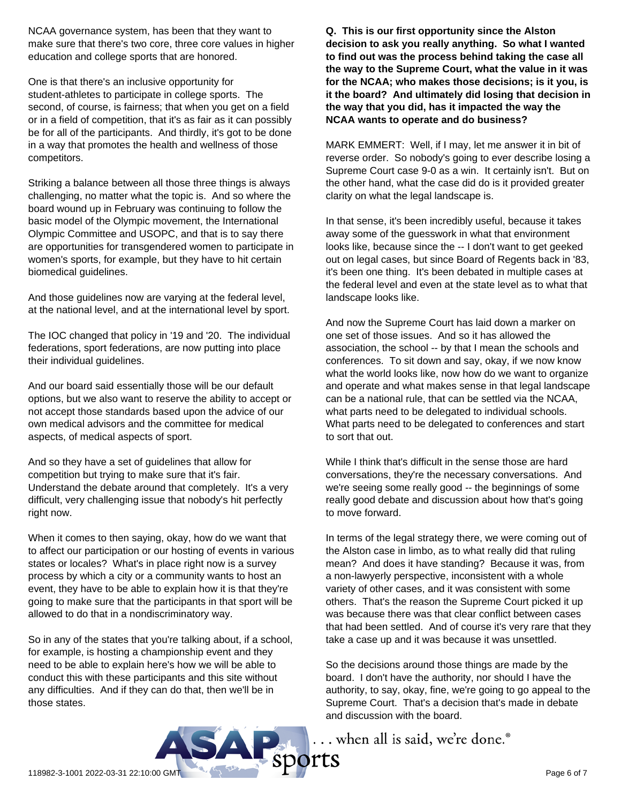NCAA governance system, has been that they want to make sure that there's two core, three core values in higher education and college sports that are honored.

One is that there's an inclusive opportunity for student-athletes to participate in college sports. The second, of course, is fairness; that when you get on a field or in a field of competition, that it's as fair as it can possibly be for all of the participants. And thirdly, it's got to be done in a way that promotes the health and wellness of those competitors.

Striking a balance between all those three things is always challenging, no matter what the topic is. And so where the board wound up in February was continuing to follow the basic model of the Olympic movement, the International Olympic Committee and USOPC, and that is to say there are opportunities for transgendered women to participate in women's sports, for example, but they have to hit certain biomedical guidelines.

And those guidelines now are varying at the federal level, at the national level, and at the international level by sport.

The IOC changed that policy in '19 and '20. The individual federations, sport federations, are now putting into place their individual guidelines.

And our board said essentially those will be our default options, but we also want to reserve the ability to accept or not accept those standards based upon the advice of our own medical advisors and the committee for medical aspects, of medical aspects of sport.

And so they have a set of guidelines that allow for competition but trying to make sure that it's fair. Understand the debate around that completely. It's a very difficult, very challenging issue that nobody's hit perfectly right now.

When it comes to then saying, okay, how do we want that to affect our participation or our hosting of events in various states or locales? What's in place right now is a survey process by which a city or a community wants to host an event, they have to be able to explain how it is that they're going to make sure that the participants in that sport will be allowed to do that in a nondiscriminatory way.

So in any of the states that you're talking about, if a school, for example, is hosting a championship event and they need to be able to explain here's how we will be able to conduct this with these participants and this site without any difficulties. And if they can do that, then we'll be in those states.

**Q. This is our first opportunity since the Alston decision to ask you really anything. So what I wanted to find out was the process behind taking the case all the way to the Supreme Court, what the value in it was for the NCAA; who makes those decisions; is it you, is it the board? And ultimately did losing that decision in the way that you did, has it impacted the way the NCAA wants to operate and do business?**

MARK EMMERT: Well, if I may, let me answer it in bit of reverse order. So nobody's going to ever describe losing a Supreme Court case 9-0 as a win. It certainly isn't. But on the other hand, what the case did do is it provided greater clarity on what the legal landscape is.

In that sense, it's been incredibly useful, because it takes away some of the guesswork in what that environment looks like, because since the -- I don't want to get geeked out on legal cases, but since Board of Regents back in '83, it's been one thing. It's been debated in multiple cases at the federal level and even at the state level as to what that landscape looks like.

And now the Supreme Court has laid down a marker on one set of those issues. And so it has allowed the association, the school -- by that I mean the schools and conferences. To sit down and say, okay, if we now know what the world looks like, now how do we want to organize and operate and what makes sense in that legal landscape can be a national rule, that can be settled via the NCAA, what parts need to be delegated to individual schools. What parts need to be delegated to conferences and start to sort that out.

While I think that's difficult in the sense those are hard conversations, they're the necessary conversations. And we're seeing some really good -- the beginnings of some really good debate and discussion about how that's going to move forward.

In terms of the legal strategy there, we were coming out of the Alston case in limbo, as to what really did that ruling mean? And does it have standing? Because it was, from a non-lawyerly perspective, inconsistent with a whole variety of other cases, and it was consistent with some others. That's the reason the Supreme Court picked it up was because there was that clear conflict between cases that had been settled. And of course it's very rare that they take a case up and it was because it was unsettled.

So the decisions around those things are made by the board. I don't have the authority, nor should I have the authority, to say, okay, fine, we're going to go appeal to the Supreme Court. That's a decision that's made in debate and discussion with the board.

... when all is said, we're done.